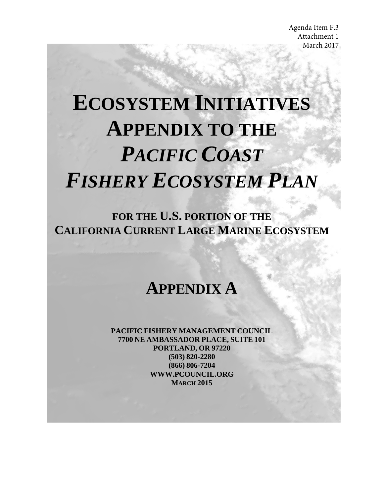# **ECOSYSTEM INITIATIVES APPENDIX TO THE** *PACIFIC COAST FISHERY ECOSYSTEM PLAN*

**FOR THE U.S. PORTION OF THE CALIFORNIA CURRENT LARGE MARINE ECOSYSTEM**

# **APPENDIX A**

**PACIFIC FISHERY MANAGEMENT COUNCIL 7700 NE AMBASSADOR PLACE, SUITE 101 PORTLAND, OR 97220 (503) 820-2280 (866) 806-7204 WWW.PCOUNCIL.ORG MARCH 2015**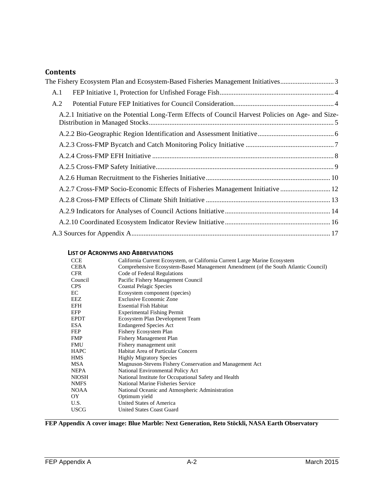# **Contents**

| The Fishery Ecosystem Plan and Ecosystem-Based Fisheries Management Initiatives3                  |  |
|---------------------------------------------------------------------------------------------------|--|
| A.1                                                                                               |  |
| A.2                                                                                               |  |
| A.2.1 Initiative on the Potential Long-Term Effects of Council Harvest Policies on Age- and Size- |  |
|                                                                                                   |  |
|                                                                                                   |  |
|                                                                                                   |  |
|                                                                                                   |  |
|                                                                                                   |  |
| A.2.7 Cross-FMP Socio-Economic Effects of Fisheries Management Initiative  12                     |  |
|                                                                                                   |  |
|                                                                                                   |  |
|                                                                                                   |  |
|                                                                                                   |  |

#### **LIST OF ACRONYMS AND ABBREVIATIONS**

| <b>CCE</b>   | California Current Ecosystem, or California Current Large Marine Ecosystem         |  |  |  |  |
|--------------|------------------------------------------------------------------------------------|--|--|--|--|
| <b>CEBA</b>  | Comprehensive Ecosystem-Based Management Amendment (of the South Atlantic Council) |  |  |  |  |
| <b>CFR</b>   | Code of Federal Regulations                                                        |  |  |  |  |
| Council      | Pacific Fishery Management Council                                                 |  |  |  |  |
| <b>CPS</b>   | <b>Coastal Pelagic Species</b>                                                     |  |  |  |  |
| EC           | Ecosystem component (species)                                                      |  |  |  |  |
| EEZ          | <b>Exclusive Economic Zone</b>                                                     |  |  |  |  |
| EFH          | <b>Essential Fish Habitat</b>                                                      |  |  |  |  |
| EFP          | <b>Experimental Fishing Permit</b>                                                 |  |  |  |  |
| <b>EPDT</b>  | Ecosystem Plan Development Team                                                    |  |  |  |  |
| <b>ESA</b>   | <b>Endangered Species Act</b>                                                      |  |  |  |  |
| FEP          | Fishery Ecosystem Plan                                                             |  |  |  |  |
| <b>FMP</b>   | <b>Fishery Management Plan</b>                                                     |  |  |  |  |
| <b>FMU</b>   | Fishery management unit                                                            |  |  |  |  |
| HAPC         | Habitat Area of Particular Concern                                                 |  |  |  |  |
| <b>HMS</b>   | <b>Highly Migratory Species</b>                                                    |  |  |  |  |
| MSA          | Magnuson-Stevens Fishery Conservation and Management Act                           |  |  |  |  |
| <b>NEPA</b>  | National Environmental Policy Act                                                  |  |  |  |  |
| <b>NIOSH</b> | National Institute for Occupational Safety and Health                              |  |  |  |  |
| <b>NMFS</b>  | National Marine Fisheries Service                                                  |  |  |  |  |
| <b>NOAA</b>  | National Oceanic and Atmospheric Administration                                    |  |  |  |  |
| OY           | Optimum yield                                                                      |  |  |  |  |
| U.S.         | United States of America                                                           |  |  |  |  |
| <b>USCG</b>  | <b>United States Coast Guard</b>                                                   |  |  |  |  |
|              |                                                                                    |  |  |  |  |

**FEP Appendix A cover image: Blue Marble: Next Generation, Reto Stöckli, NASA Earth Observatory**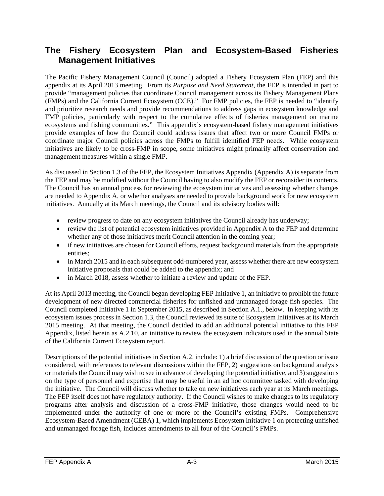# <span id="page-2-0"></span>**The Fishery Ecosystem Plan and Ecosystem-Based Fisheries Management Initiatives**

The Pacific Fishery Management Council (Council) adopted a Fishery Ecosystem Plan (FEP) and this appendix at its April 2013 meeting. From its *Purpose and Need Statement*, the FEP is intended in part to provide "management policies that coordinate Council management across its Fishery Management Plans (FMPs) and the California Current Ecosystem (CCE)." For FMP policies, the FEP is needed to "identify and prioritize research needs and provide recommendations to address gaps in ecosystem knowledge and FMP policies, particularly with respect to the cumulative effects of fisheries management on marine ecosystems and fishing communities." This appendix's ecosystem-based fishery management initiatives provide examples of how the Council could address issues that affect two or more Council FMPs or coordinate major Council policies across the FMPs to fulfill identified FEP needs. While ecosystem initiatives are likely to be cross-FMP in scope, some initiatives might primarily affect conservation and management measures within a single FMP.

As discussed in Section 1.3 of the FEP, the Ecosystem Initiatives Appendix (Appendix A) is separate from the FEP and may be modified without the Council having to also modify the FEP or reconsider its contents. The Council has an annual process for reviewing the ecosystem initiatives and assessing whether changes are needed to Appendix A, or whether analyses are needed to provide background work for new ecosystem initiatives. Annually at its March meetings, the Council and its advisory bodies will:

- review progress to date on any ecosystem initiatives the Council already has underway;
- review the list of potential ecosystem initiatives provided in Appendix A to the FEP and determine whether any of those initiatives merit Council attention in the coming year;
- if new initiatives are chosen for Council efforts, request background materials from the appropriate entities;
- in March 2015 and in each subsequent odd-numbered year, assess whether there are new ecosystem initiative proposals that could be added to the appendix; and
- in March 2018, assess whether to initiate a review and update of the FEP.

At its April 2013 meeting, the Council began developing FEP Initiative 1, an initiative to prohibit the future development of new directed commercial fisheries for unfished and unmanaged forage fish species. The Council completed Initiative 1 in September 2015, as described in Section A.1., below. In keeping with its ecosystem issues process in Section 1.3, the Council reviewed its suite of Ecosystem Initiatives at its March 2015 meeting. At that meeting, the Council decided to add an additional potential initiative to this FEP Appendix, listed herein as A.2.10, an initiative to review the ecosystem indicators used in the annual State of the California Current Ecosystem report.

Descriptions of the potential initiatives in Section A.2. include: 1) a brief discussion of the question or issue considered, with references to relevant discussions within the FEP, 2) suggestions on background analysis or materials the Council may wish to see in advance of developing the potential initiative, and 3) suggestions on the type of personnel and expertise that may be useful in an ad hoc committee tasked with developing the initiative. The Council will discuss whether to take on new initiatives each year at its March meetings. The FEP itself does not have regulatory authority. If the Council wishes to make changes to its regulatory programs after analysis and discussion of a cross-FMP initiative, those changes would need to be implemented under the authority of one or more of the Council's existing FMPs. Comprehensive Ecosystem-Based Amendment (CEBA) 1, which implements Ecosystem Initiative 1 on protecting unfished and unmanaged forage fish, includes amendments to all four of the Council's FMPs.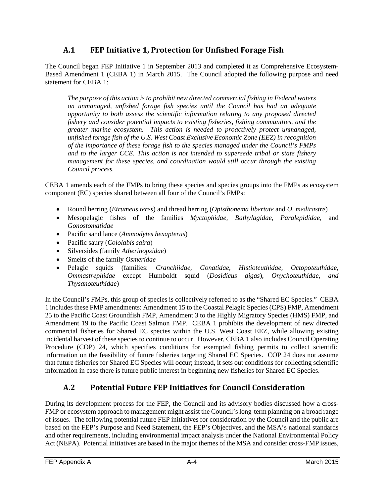## **A.1 FEP Initiative 1, Protection for Unfished Forage Fish**

<span id="page-3-0"></span>The Council began FEP Initiative 1 in September 2013 and completed it as Comprehensive Ecosystem-Based Amendment 1 (CEBA 1) in March 2015. The Council adopted the following purpose and need statement for CEBA 1:

*The purpose of this action is to prohibit new directed commercial fishing in Federal waters on unmanaged, unfished forage fish species until the Council has had an adequate opportunity to both assess the scientific information relating to any proposed directed fishery and consider potential impacts to existing fisheries, fishing communities, and the greater marine ecosystem. This action is needed to proactively protect unmanaged, unfished forage fish of the U.S. West Coast Exclusive Economic Zone (EEZ) in recognition of the importance of these forage fish to the species managed under the Council's FMPs and to the larger CCE. This action is not intended to supersede tribal or state fishery management for these species, and coordination would still occur through the existing Council process.*

CEBA 1 amends each of the FMPs to bring these species and species groups into the FMPs as ecosystem component (EC) species shared between all four of the Council's FMPs:

- Round herring (*Etrumeus teres*) and thread herring (*Opisthonema libertate* and *O. medirastre*)
- Mesopelagic fishes of the families *Myctophidae, Bathylagidae, Paralepididae,* and *Gonostomatidae*
- Pacific sand lance (*Ammodytes hexapterus*)
- Pacific saury (*Cololabis saira*)
- Silversides (family *Atherinopsidae*)
- Smelts of the family *Osmeridae*
- Pelagic squids (families: *Cranchiidae, Gonatidae, Histioteuthidae, Octopoteuthidae, Ommastrephidae* except Humboldt squid (*Dosidicus gigas*)*, Onychoteuthidae, and Thysanoteuthidae*)

In the Council's FMPs, this group of species is collectively referred to as the "Shared EC Species." CEBA 1 includes these FMP amendments: Amendment 15 to the Coastal Pelagic Species (CPS) FMP, Amendment 25 to the Pacific Coast Groundfish FMP, Amendment 3 to the Highly Migratory Species (HMS) FMP, and Amendment 19 to the Pacific Coast Salmon FMP. CEBA 1 prohibits the development of new directed commercial fisheries for Shared EC species within the U.S. West Coast EEZ, while allowing existing incidental harvest of these species to continue to occur. However, CEBA 1 also includes Council Operating Procedure (COP) 24, which specifies conditions for exempted fishing permits to collect scientific information on the feasibility of future fisheries targeting Shared EC Species. COP 24 does not assume that future fisheries for Shared EC Species will occur; instead, it sets out conditions for collecting scientific information in case there is future public interest in beginning new fisheries for Shared EC Species.

## **A.2 Potential Future FEP Initiatives for Council Consideration**

<span id="page-3-1"></span>During its development process for the FEP, the Council and its advisory bodies discussed how a cross-FMP or ecosystem approach to management might assist the Council's long-term planning on a broad range of issues. The following potential future FEP initiatives for consideration by the Council and the public are based on the FEP's Purpose and Need Statement, the FEP's Objectives, and the MSA's national standards and other requirements, including environmental impact analysis under the National Environmental Policy Act (NEPA). Potential initiatives are based in the major themes of the MSA and consider cross-FMP issues,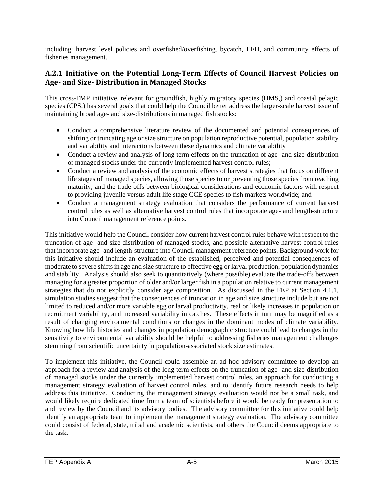including: harvest level policies and overfished/overfishing, bycatch, EFH, and community effects of fisheries management.

#### <span id="page-4-0"></span>**A.2.1 Initiative on the Potential Long-Term Effects of Council Harvest Policies on Age- and Size- Distribution in Managed Stocks**

This cross-FMP initiative, relevant for groundfish, highly migratory species (HMS,) and coastal pelagic species (CPS,) has several goals that could help the Council better address the larger-scale harvest issue of maintaining broad age- and size-distributions in managed fish stocks:

- Conduct a comprehensive literature review of the documented and potential consequences of shifting or truncating age or size structure on population reproductive potential, population stability and variability and interactions between these dynamics and climate variability
- Conduct a review and analysis of long term effects on the truncation of age- and size-distribution of managed stocks under the currently implemented harvest control rules;
- Conduct a review and analysis of the economic effects of harvest strategies that focus on different life stages of managed species, allowing those species to or preventing those species from reaching maturity, and the trade-offs between biological considerations and economic factors with respect to providing juvenile versus adult life stage CCE species to fish markets worldwide; and
- Conduct a management strategy evaluation that considers the performance of current harvest control rules as well as alternative harvest control rules that incorporate age- and length-structure into Council management reference points.

This initiative would help the Council consider how current harvest control rules behave with respect to the truncation of age- and size-distribution of managed stocks, and possible alternative harvest control rules that incorporate age- and length-structure into Council management reference points. Background work for this initiative should include an evaluation of the established, perceived and potential consequences of moderate to severe shifts in age and size structure to effective egg or larval production, population dynamics and stability. Analysis should also seek to quantitatively (where possible) evaluate the trade-offs between managing for a greater proportion of older and/or larger fish in a population relative to current management strategies that do not explicitly consider age composition. As discussed in the FEP at Section 4.1.1, simulation studies suggest that the consequences of truncation in age and size structure include but are not limited to reduced and/or more variable egg or larval productivity, real or likely increases in population or recruitment variability, and increased variability in catches. These effects in turn may be magnified as a result of changing environmental conditions or changes in the dominant modes of climate variability. Knowing how life histories and changes in population demographic structure could lead to changes in the sensitivity to environmental variability should be helpful to addressing fisheries management challenges stemming from scientific uncertainty in population-associated stock size estimates.

To implement this initiative, the Council could assemble an ad hoc advisory committee to develop an approach for a review and analysis of the long term effects on the truncation of age- and size-distribution of managed stocks under the currently implemented harvest control rules, an approach for conducting a management strategy evaluation of harvest control rules, and to identify future research needs to help address this initiative. Conducting the management strategy evaluation would not be a small task, and would likely require dedicated time from a team of scientists before it would be ready for presentation to and review by the Council and its advisory bodies. The advisory committee for this initiative could help identify an appropriate team to implement the management strategy evaluation. The advisory committee could consist of federal, state, tribal and academic scientists, and others the Council deems appropriate to the task.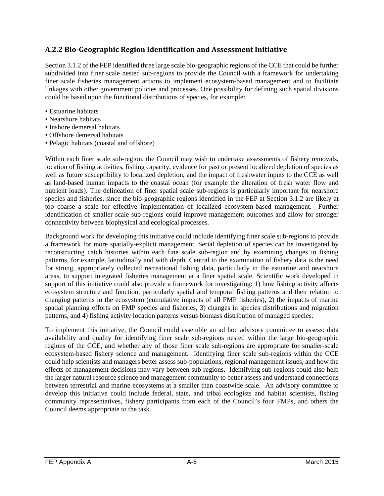#### <span id="page-5-0"></span>**A.2.2 Bio-Geographic Region Identification and Assessment Initiative**

Section 3.1.2 of the FEP identified three large scale bio-geographic regions of the CCE that could be further subdivided into finer scale nested sub-regions to provide the Council with a framework for undertaking finer scale fisheries management actions to implement ecosystem-based management and to facilitate linkages with other government policies and processes. One possibility for defining such spatial divisions could be based upon the functional distributions of species, for example:

- Estuarine habitats
- Nearshore habitats
- Inshore demersal habitats
- Offshore demersal habitats
- Pelagic habitats (coastal and offshore)

Within each finer scale sub-region, the Council may wish to undertake assessments of fishery removals, location of fishing activities, fishing capacity, evidence for past or present localized depletion of species as well as future susceptibility to localized depletion, and the impact of freshwater inputs to the CCE as well as land-based human impacts to the coastal ocean (for example the alteration of fresh water flow and nutrient loads). The delineation of finer spatial scale sub-regions is particularly important for nearshore species and fisheries, since the bio-geographic regions identified in the FEP at Section 3.1.2 are likely at too coarse a scale for effective implementation of localized ecosystem-based management. Further identification of smaller scale sub-regions could improve management outcomes and allow for stronger connectivity between biophysical and ecological processes.

Background work for developing this initiative could include identifying finer scale sub-regions to provide a framework for more spatially-explicit management. Serial depletion of species can be investigated by reconstructing catch histories within each fine scale sub-region and by examining changes in fishing patterns, for example, latitudinally and with depth. Central to the examination of fishery data is the need for strong, appropriately collected recreational fishing data, particularly in the estuarine and nearshore areas, to support integrated fisheries management at a finer spatial scale. Scientific work developed in support of this initiative could also provide a framework for investigating: 1) how fishing activity affects ecosystem structure and function, particularly spatial and temporal fishing patterns and their relation to changing patterns in the ecosystem (cumulative impacts of all FMP fisheries), 2) the impacts of marine spatial planning efforts on FMP species and fisheries, 3) changes in species distributions and migration patterns, and 4) fishing activity location patterns versus biomass distribution of managed species.

To implement this initiative, the Council could assemble an ad hoc advisory committee to assess: data availability and quality for identifying finer scale sub-regions nested within the large bio-geographic regions of the CCE, and whether any of those finer scale sub-regions are appropriate for smaller-scale ecosystem-based fishery science and management. Identifying finer scale sub-regions within the CCE could help scientists and managers better assess sub-populations, regional management issues, and how the effects of management decisions may vary between sub-regions. Identifying sub-regions could also help the larger natural resource science and management community to better assess and understand connections between terrestrial and marine ecosystems at a smaller than coastwide scale. An advisory committee to develop this initiative could include federal, state, and tribal ecologists and habitat scientists, fishing community representatives, fishery participants from each of the Council's four FMPs, and others the Council deems appropriate to the task.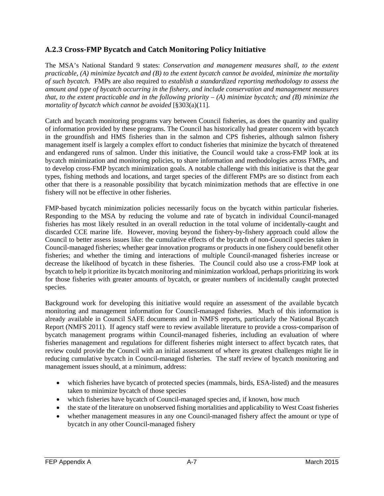#### <span id="page-6-0"></span>**A.2.3 Cross-FMP Bycatch and Catch Monitoring Policy Initiative**

The MSA's National Standard 9 states: *Conservation and management measures shall, to the extent practicable, (A) minimize bycatch and (B) to the extent bycatch cannot be avoided, minimize the mortality of such bycatch.* FMPs are also required to *establish a standardized reporting methodology to assess the amount and type of bycatch occurring in the fishery, and include conservation and management measures that, to the extent practicable and in the following priority – (A) minimize bycatch; and (B) minimize the mortality of bycatch which cannot be avoided* [§303(a)(11].

Catch and bycatch monitoring programs vary between Council fisheries, as does the quantity and quality of information provided by these programs. The Council has historically had greater concern with bycatch in the groundfish and HMS fisheries than in the salmon and CPS fisheries, although salmon fishery management itself is largely a complex effort to conduct fisheries that minimize the bycatch of threatened and endangered runs of salmon. Under this initiative, the Council would take a cross-FMP look at its bycatch minimization and monitoring policies, to share information and methodologies across FMPs, and to develop cross-FMP bycatch minimization goals. A notable challenge with this initiative is that the gear types, fishing methods and locations, and target species of the different FMPs are so distinct from each other that there is a reasonable possibility that bycatch minimization methods that are effective in one fishery will not be effective in other fisheries.

FMP-based bycatch minimization policies necessarily focus on the bycatch within particular fisheries. Responding to the MSA by reducing the volume and rate of bycatch in individual Council-managed fisheries has most likely resulted in an overall reduction in the total volume of incidentally-caught and discarded CCE marine life. However, moving beyond the fishery-by-fishery approach could allow the Council to better assess issues like: the cumulative effects of the bycatch of non-Council species taken in Council-managed fisheries; whether gear innovation programs or products in one fishery could benefit other fisheries; and whether the timing and interactions of multiple Council-managed fisheries increase or decrease the likelihood of bycatch in these fisheries. The Council could also use a cross-FMP look at bycatch to help it prioritize its bycatch monitoring and minimization workload, perhaps prioritizing its work for those fisheries with greater amounts of bycatch, or greater numbers of incidentally caught protected species.

Background work for developing this initiative would require an assessment of the available bycatch monitoring and management information for Council-managed fisheries. Much of this information is already available in Council SAFE documents and in NMFS reports, particularly the National Bycatch Report (NMFS 2011). If agency staff were to review available literature to provide a cross-comparison of bycatch management programs within Council-managed fisheries, including an evaluation of where fisheries management and regulations for different fisheries might intersect to affect bycatch rates, that review could provide the Council with an initial assessment of where its greatest challenges might lie in reducing cumulative bycatch in Council-managed fisheries. The staff review of bycatch monitoring and management issues should, at a minimum, address:

- which fisheries have bycatch of protected species (mammals, birds, ESA-listed) and the measures taken to minimize bycatch of those species
- which fisheries have bycatch of Council-managed species and, if known, how much
- the state of the literature on unobserved fishing mortalities and applicability to West Coast fisheries
- whether management measures in any one Council-managed fishery affect the amount or type of bycatch in any other Council-managed fishery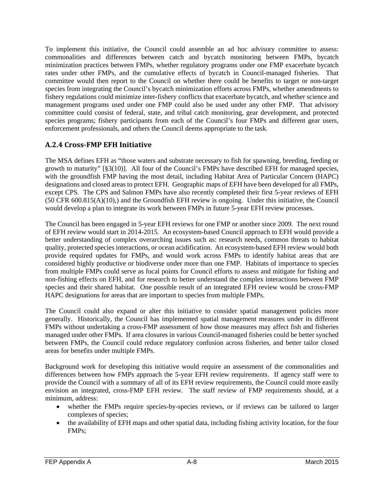To implement this initiative, the Council could assemble an ad hoc advisory committee to assess: commonalities and differences between catch and bycatch monitoring between FMPs, bycatch minimization practices between FMPs, whether regulatory programs under one FMP exacerbate bycatch rates under other FMPs, and the cumulative effects of bycatch in Council-managed fisheries. That committee would then report to the Council on whether there could be benefits to target or non-target species from integrating the Council's bycatch minimization efforts across FMPs, whether amendments to fishery regulations could minimize inter-fishery conflicts that exacerbate bycatch, and whether science and management programs used under one FMP could also be used under any other FMP. That advisory committee could consist of federal, state, and tribal catch monitoring, gear development, and protected species programs; fishery participants from each of the Council's four FMPs and different gear users, enforcement professionals, and others the Council deems appropriate to the task.

#### <span id="page-7-0"></span>**A.2.4 Cross-FMP EFH Initiative**

The MSA defines EFH as "those waters and substrate necessary to fish for spawning, breeding, feeding or growth to maturity" [§3(10)]. All four of the Council's FMPs have described EFH for managed species, with the groundfish FMP having the most detail, including Habitat Area of Particular Concern (HAPC) designations and closed areas to protect EFH. Geographic maps of EFH have been developed for all FMPs, except CPS. The CPS and Salmon FMPs have also recently completed their first 5-year reviews of EFH (50 CFR 600.815(A)(10),) and the Groundfish EFH review is ongoing. Under this initiative, the Council would develop a plan to integrate its work between FMPs in future 5-year EFH review processes.

The Council has been engaged in 5-year EFH reviews for one FMP or another since 2009. The next round of EFH review would start in 2014-2015. An ecosystem-based Council approach to EFH would provide a better understanding of complex overarching issues such as: research needs, common threats to habitat quality, protected species interactions, or ocean acidification. An ecosystem-based EFH review would both provide required updates for FMPs, and would work across FMPs to identify habitat areas that are considered highly productive or biodiverse under more than one FMP. Habitats of importance to species from multiple FMPs could serve as focal points for Council efforts to assess and mitigate for fishing and non-fishing effects on EFH, and for research to better understand the complex interactions between FMP species and their shared habitat. One possible result of an integrated EFH review would be cross-FMP HAPC designations for areas that are important to species from multiple FMPs.

The Council could also expand or alter this initiative to consider spatial management policies more generally. Historically, the Council has implemented spatial management measures under its different FMPs without undertaking a cross-FMP assessment of how those measures may affect fish and fisheries managed under other FMPs. If area closures in various Council-managed fisheries could be better synched between FMPs, the Council could reduce regulatory confusion across fisheries, and better tailor closed areas for benefits under multiple FMPs.

Background work for developing this initiative would require an assessment of the commonalities and differences between how FMPs approach the 5-year EFH review requirements. If agency staff were to provide the Council with a summary of all of its EFH review requirements, the Council could more easily envision an integrated, cross-FMP EFH review. The staff review of FMP requirements should, at a minimum, address:

- whether the FMPs require species-by-species reviews, or if reviews can be tailored to larger complexes of species;
- the availability of EFH maps and other spatial data, including fishing activity location, for the four FMPs;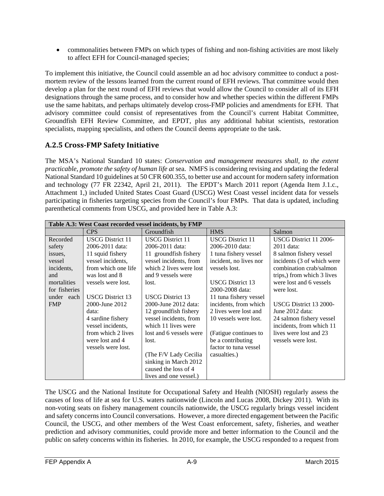• commonalities between FMPs on which types of fishing and non-fishing activities are most likely to affect EFH for Council-managed species;

To implement this initiative, the Council could assemble an ad hoc advisory committee to conduct a postmortem review of the lessons learned from the current round of EFH reviews. That committee would then develop a plan for the next round of EFH reviews that would allow the Council to consider all of its EFH designations through the same process, and to consider how and whether species within the different FMPs use the same habitats, and perhaps ultimately develop cross-FMP policies and amendments for EFH. That advisory committee could consist of representatives from the Council's current Habitat Committee, Groundfish EFH Review Committee, and EPDT, plus any additional habitat scientists, restoration specialists, mapping specialists, and others the Council deems appropriate to the task.

#### <span id="page-8-0"></span>**A.2.5 Cross-FMP Safety Initiative**

The MSA's National Standard 10 states: *Conservation and management measures shall, to the extent practicable, promote the safety of human life at sea.* NMFS is considering revising and updating the federal National Standard 10 guidelines at 50 CFR 600.355, to better use and account for modern safety information and technology (77 FR 22342, April 21, 2011). The EPDT's March 2011 report (Agenda Item J.1.c., Attachment 1,) included United States Coast Guard (USCG) West Coast vessel incident data for vessels participating in fisheries targeting species from the Council's four FMPs. That data is updated, including parenthetical comments from USCG, and provided here in Table A.3:

| Table A.3: West Coast recorded vessel incidents, by FMP |                         |                         |                         |                            |  |
|---------------------------------------------------------|-------------------------|-------------------------|-------------------------|----------------------------|--|
|                                                         | <b>CPS</b>              | Groundfish              | <b>HMS</b>              | Salmon                     |  |
| Recorded                                                | <b>USCG</b> District 11 | <b>USCG</b> District 11 | <b>USCG</b> District 11 | USCG District 11 2006-     |  |
| safety                                                  | 2006-2011 data:         | 2006-2011 data:         | 2006-2010 data:         | 2011 data:                 |  |
| issues,                                                 | 11 squid fishery        | 11 groundfish fishery   | 1 tuna fishery vessel   | 8 salmon fishery vessel    |  |
| vessel                                                  | vessel incidents,       | vessel incidents, from  | incident, no lives nor  | incidents (3 of which were |  |
| incidents.                                              | from which one life     | which 2 lives were lost | vessels lost.           | combination crab/salmon    |  |
| and                                                     | was lost and 8          | and 9 vessels were      |                         | trips,) from which 3 lives |  |
| mortalities                                             | vessels were lost.      | lost.                   | <b>USCG</b> District 13 | were lost and 6 vessels    |  |
| for fisheries                                           |                         |                         | 2000-2008 data:         | were lost.                 |  |
| under each                                              | <b>USCG District 13</b> | <b>USCG</b> District 13 | 11 tuna fishery vessel  |                            |  |
| <b>FMP</b>                                              | 2000-June 2012          | 2000-June 2012 data:    | incidents, from which   | USCG District 13 2000-     |  |
|                                                         | data:                   | 12 groundfish fishery   | 2 lives were lost and   | June 2012 data:            |  |
|                                                         | 4 sardine fishery       | vessel incidents, from  | 10 vessels were lost.   | 24 salmon fishery vessel   |  |
|                                                         | vessel incidents,       | which 11 lives were     |                         | incidents, from which 11   |  |
|                                                         | from which 2 lives      | lost and 6 vessels were | (Fatigue continues to   | lives were lost and 23     |  |
|                                                         | were lost and 4         | lost.                   | be a contributing       | vessels were lost.         |  |
|                                                         | vessels were lost.      |                         | factor to tuna vessel   |                            |  |
|                                                         |                         | (The F/V Lady Cecilia   | casualties.)            |                            |  |
|                                                         |                         | sinking in March 2012   |                         |                            |  |
|                                                         |                         | caused the loss of 4    |                         |                            |  |
|                                                         |                         | lives and one vessel.)  |                         |                            |  |

The USCG and the National Institute for Occupational Safety and Health (NIOSH) regularly assess the causes of loss of life at sea for U.S. waters nationwide (Lincoln and Lucas 2008, Dickey 2011). With its non-voting seats on fishery management councils nationwide, the USCG regularly brings vessel incident and safety concerns into Council conversations. However, a more directed engagement between the Pacific Council, the USCG, and other members of the West Coast enforcement, safety, fisheries, and weather prediction and advisory communities, could provide more and better information to the Council and the public on safety concerns within its fisheries. In 2010, for example, the USCG responded to a request from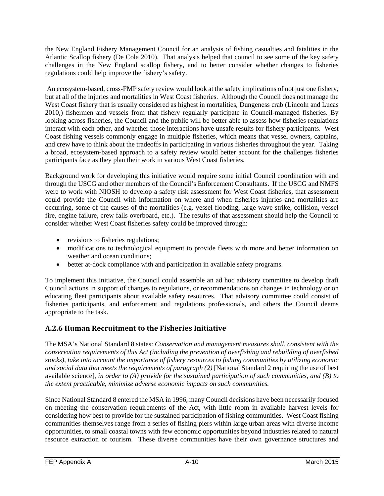the New England Fishery Management Council for an analysis of fishing casualties and fatalities in the Atlantic Scallop fishery (De Cola 2010). That analysis helped that council to see some of the key safety challenges in the New England scallop fishery, and to better consider whether changes to fisheries regulations could help improve the fishery's safety.

An ecosystem-based, cross-FMP safety review would look at the safety implications of not just one fishery, but at all of the injuries and mortalities in West Coast fisheries. Although the Council does not manage the West Coast fishery that is usually considered as highest in mortalities, Dungeness crab (Lincoln and Lucas 2010,) fishermen and vessels from that fishery regularly participate in Council-managed fisheries. By looking across fisheries, the Council and the public will be better able to assess how fisheries regulations interact with each other, and whether those interactions have unsafe results for fishery participants. West Coast fishing vessels commonly engage in multiple fisheries, which means that vessel owners, captains, and crew have to think about the tradeoffs in participating in various fisheries throughout the year. Taking a broad, ecosystem-based approach to a safety review would better account for the challenges fisheries participants face as they plan their work in various West Coast fisheries.

Background work for developing this initiative would require some initial Council coordination with and through the USCG and other members of the Council's Enforcement Consultants. If the USCG and NMFS were to work with NIOSH to develop a safety risk assessment for West Coast fisheries, that assessment could provide the Council with information on where and when fisheries injuries and mortalities are occurring, some of the causes of the mortalities (e.g. vessel flooding, large wave strike, collision, vessel fire, engine failure, crew falls overboard, etc.). The results of that assessment should help the Council to consider whether West Coast fisheries safety could be improved through:

- revisions to fisheries regulations;
- modifications to technological equipment to provide fleets with more and better information on weather and ocean conditions;
- better at-dock compliance with and participation in available safety programs.

To implement this initiative, the Council could assemble an ad hoc advisory committee to develop draft Council actions in support of changes to regulations, or recommendations on changes in technology or on educating fleet participants about available safety resources. That advisory committee could consist of fisheries participants, and enforcement and regulations professionals, and others the Council deems appropriate to the task.

#### <span id="page-9-0"></span>**A.2.6 Human Recruitment to the Fisheries Initiative**

The MSA's National Standard 8 states: *Conservation and management measures shall, consistent with the conservation requirements of this Act (including the prevention of overfishing and rebuilding of overfished stocks), take into account the importance of fishery resources to fishing communities by utilizing economic*  and social data that meets the requirements of paragraph (2) [National Standard 2 requiring the use of best available science]*, in order to (A) provide for the sustained participation of such communities, and (B) to the extent practicable, minimize adverse economic impacts on such communities.*

Since National Standard 8 entered the MSA in 1996, many Council decisions have been necessarily focused on meeting the conservation requirements of the Act, with little room in available harvest levels for considering how best to provide for the sustained participation of fishing communities. West Coast fishing communities themselves range from a series of fishing piers within large urban areas with diverse income opportunities, to small coastal towns with few economic opportunities beyond industries related to natural resource extraction or tourism. These diverse communities have their own governance structures and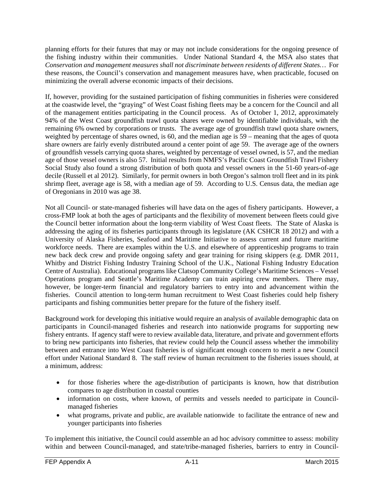planning efforts for their futures that may or may not include considerations for the ongoing presence of the fishing industry within their communities. Under National Standard 4, the MSA also states that *Conservation and management measures shall not discriminate between residents of different States…* For these reasons, the Council's conservation and management measures have, when practicable, focused on minimizing the overall adverse economic impacts of their decisions.

If, however, providing for the sustained participation of fishing communities in fisheries were considered at the coastwide level, the "graying" of West Coast fishing fleets may be a concern for the Council and all of the management entities participating in the Council process. As of October 1, 2012, approximately 94% of the West Coast groundfish trawl quota shares were owned by identifiable individuals, with the remaining 6% owned by corporations or trusts. The average age of groundfish trawl quota share owners, weighted by percentage of shares owned, is 60, and the median age is 59 – meaning that the ages of quota share owners are fairly evenly distributed around a center point of age 59. The average age of the owners of groundfish vessels carrying quota shares, weighted by percentage of vessel owned, is 57, and the median age of those vessel owners is also 57. Initial results from NMFS's Pacific Coast Groundfish Trawl Fishery Social Study also found a strong distribution of both quota and vessel owners in the 51-60 years-of-age decile (Russell et al 2012). Similarly, for permit owners in both Oregon's salmon troll fleet and in its pink shrimp fleet, average age is 58, with a median age of 59. According to U.S. Census data, the median age of Oregonians in 2010 was age 38.

Not all Council- or state-managed fisheries will have data on the ages of fishery participants. However, a cross-FMP look at both the ages of participants and the flexibility of movement between fleets could give the Council better information about the long-term viability of West Coast fleets. The State of Alaska is addressing the aging of its fisheries participants through its legislature (AK CSHCR 18 2012) and with a University of Alaska Fisheries, Seafood and Maritime Initiative to assess current and future maritime workforce needs. There are examples within the U.S. and elsewhere of apprenticeship programs to train new back deck crew and provide ongoing safety and gear training for rising skippers (e.g. DMR 2011, Whitby and District Fishing Industry Training School of the U.K., National Fishing Industry Education Centre of Australia). Educational programs like Clatsop Community College's Maritime Sciences – Vessel Operations program and Seattle's Maritime Academy can train aspiring crew members. There may, however, be longer-term financial and regulatory barriers to entry into and advancement within the fisheries. Council attention to long-term human recruitment to West Coast fisheries could help fishery participants and fishing communities better prepare for the future of the fishery itself.

Background work for developing this initiative would require an analysis of available demographic data on participants in Council-managed fisheries and research into nationwide programs for supporting new fishery entrants. If agency staff were to review available data, literature, and private and government efforts to bring new participants into fisheries, that review could help the Council assess whether the immobility between and entrance into West Coast fisheries is of significant enough concern to merit a new Council effort under National Standard 8. The staff review of human recruitment to the fisheries issues should, at a minimum, address:

- for those fisheries where the age-distribution of participants is known, how that distribution compares to age distribution in coastal counties
- information on costs, where known, of permits and vessels needed to participate in Councilmanaged fisheries
- what programs, private and public, are available nationwide to facilitate the entrance of new and younger participants into fisheries

To implement this initiative, the Council could assemble an ad hoc advisory committee to assess: mobility within and between Council-managed, and state/tribe-managed fisheries, barriers to entry in Council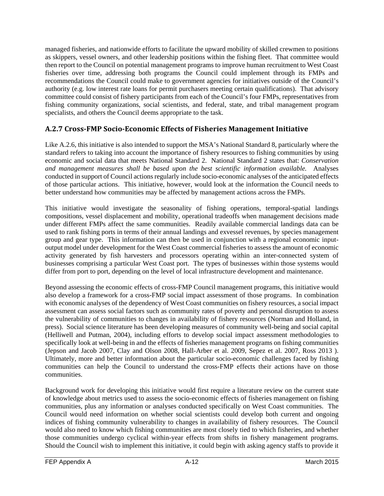managed fisheries, and nationwide efforts to facilitate the upward mobility of skilled crewmen to positions as skippers, vessel owners, and other leadership positions within the fishing fleet. That committee would then report to the Council on potential management programs to improve human recruitment to West Coast fisheries over time, addressing both programs the Council could implement through its FMPs and recommendations the Council could make to government agencies for initiatives outside of the Council's authority (e.g. low interest rate loans for permit purchasers meeting certain qualifications). That advisory committee could consist of fishery participants from each of the Council's four FMPs, representatives from fishing community organizations, social scientists, and federal, state, and tribal management program specialists, and others the Council deems appropriate to the task.

#### <span id="page-11-0"></span>**A.2.7 Cross-FMP Socio-Economic Effects of Fisheries Management Initiative**

Like A.2.6, this initiative is also intended to support the MSA's National Standard 8, particularly where the standard refers to taking into account the importance of fishery resources to fishing communities by using economic and social data that meets National Standard 2. National Standard 2 states that: *Conservation and management measures shall be based upon the best scientific information available.* Analyses conducted in support of Council actions regularly include socio-economic analyses of the anticipated effects of those particular actions. This initiative, however, would look at the information the Council needs to better understand how communities may be affected by management actions across the FMPs.

This initiative would investigate the seasonality of fishing operations, temporal-spatial landings compositions, vessel displacement and mobility, operational tradeoffs when management decisions made under different FMPs affect the same communities. Readily available commercial landings data can be used to rank fishing ports in terms of their annual landings and exvessel revenues, by species management group and gear type. This information can then be used in conjunction with a regional economic inputoutput model under development for the West Coast commercial fisheries to assess the amount of economic activity generated by fish harvesters and processors operating within an inter-connected system of businesses comprising a particular West Coast port. The types of businesses within those systems would differ from port to port, depending on the level of local infrastructure development and maintenance.

Beyond assessing the economic effects of cross-FMP Council management programs, this initiative would also develop a framework for a cross-FMP social impact assessment of those programs. In combination with economic analyses of the dependency of West Coast communities on fishery resources, a social impact assessment can assess social factors such as community rates of poverty and personal disruption to assess the vulnerability of communities to changes in availability of fishery resources (Norman and Holland, in press). Social science literature has been developing measures of community well-being and social capital (Helliwell and Putman, 2004), including efforts to develop social impact assessment methodologies to specifically look at well-being in and the effects of fisheries management programs on fishing communities (Jepson and Jacob 2007, Clay and Olson 2008, Hall-Arber et al. 2009, Sepez et al. 2007, Ross 2013 ). Ultimately, more and better information about the particular socio-economic challenges faced by fishing communities can help the Council to understand the cross-FMP effects their actions have on those communities.

Background work for developing this initiative would first require a literature review on the current state of knowledge about metrics used to assess the socio-economic effects of fisheries management on fishing communities, plus any information or analyses conducted specifically on West Coast communities. The Council would need information on whether social scientists could develop both current and ongoing indices of fishing community vulnerability to changes in availability of fishery resources. The Council would also need to know which fishing communities are most closely tied to which fisheries, and whether those communities undergo cyclical within-year effects from shifts in fishery management programs. Should the Council wish to implement this initiative, it could begin with asking agency staffs to provide it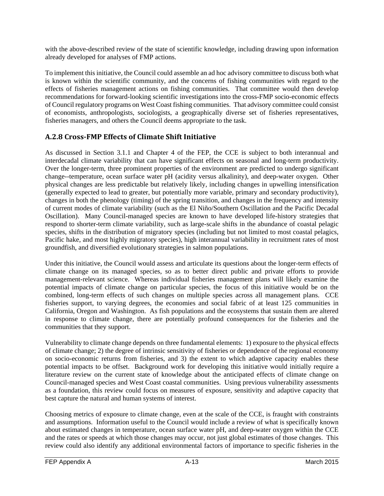with the above-described review of the state of scientific knowledge, including drawing upon information already developed for analyses of FMP actions.

To implement this initiative, the Council could assemble an ad hoc advisory committee to discuss both what is known within the scientific community, and the concerns of fishing communities with regard to the effects of fisheries management actions on fishing communities. That committee would then develop recommendations for forward-looking scientific investigations into the cross-FMP socio-economic effects of Council regulatory programs on West Coast fishing communities. That advisory committee could consist of economists, anthropologists, sociologists, a geographically diverse set of fisheries representatives, fisheries managers, and others the Council deems appropriate to the task.

#### <span id="page-12-0"></span>**A.2.8 Cross-FMP Effects of Climate Shift Initiative**

As discussed in Section 3.1.1 and Chapter 4 of the FEP, the CCE is subject to both interannual and interdecadal climate variability that can have significant effects on seasonal and long-term productivity. Over the longer-term, three prominent properties of the environment are predicted to undergo significant change--temperature, ocean surface water pH (acidity versus alkalinity), and deep-water oxygen. Other physical changes are less predictable but relatively likely, including changes in upwelling intensification (generally expected to lead to greater, but potentially more variable, primary and secondary productivity), changes in both the phenology (timing) of the spring transition, and changes in the frequency and intensity of current modes of climate variability (such as the El Niño/Southern Oscillation and the Pacific Decadal Oscillation). Many Council-managed species are known to have developed life-history strategies that respond to shorter-term climate variability, such as large-scale shifts in the abundance of coastal pelagic species, shifts in the distribution of migratory species (including but not limited to most coastal pelagics, Pacific hake, and most highly migratory species), high interannual variability in recruitment rates of most groundfish, and diversified evolutionary strategies in salmon populations.

Under this initiative, the Council would assess and articulate its questions about the longer-term effects of climate change on its managed species, so as to better direct public and private efforts to provide management-relevant science. Whereas individual fisheries management plans will likely examine the potential impacts of climate change on particular species, the focus of this initiative would be on the combined, long-term effects of such changes on multiple species across all management plans. CCE fisheries support, to varying degrees, the economies and social fabric of at least 125 communities in California, Oregon and Washington. As fish populations and the ecosystems that sustain them are altered in response to climate change, there are potentially profound consequences for the fisheries and the communities that they support.

Vulnerability to climate change depends on three fundamental elements: 1) exposure to the physical effects of climate change; 2) the degree of intrinsic sensitivity of fisheries or dependence of the regional economy on socio-economic returns from fisheries, and 3) the extent to which adaptive capacity enables these potential impacts to be offset. Background work for developing this initiative would initially require a literature review on the current state of knowledge about the anticipated effects of climate change on Council-managed species and West Coast coastal communities. Using previous vulnerability assessments as a foundation, this review could focus on measures of exposure, sensitivity and adaptive capacity that best capture the natural and human systems of interest.

Choosing metrics of exposure to climate change, even at the scale of the CCE, is fraught with constraints and assumptions. Information useful to the Council would include a review of what is specifically known about estimated changes in temperature, ocean surface water pH, and deep-water oxygen within the CCE and the rates or speeds at which those changes may occur, not just global estimates of those changes. This review could also identify any additional environmental factors of importance to specific fisheries in the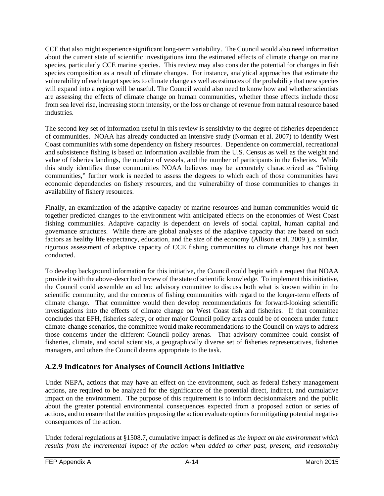CCE that also might experience significant long-term variability. The Council would also need information about the current state of scientific investigations into the estimated effects of climate change on marine species, particularly CCE marine species. This review may also consider the potential for changes in fish species composition as a result of climate changes. For instance, analytical approaches that estimate the vulnerability of each target species to climate change as well as estimates of the probability that new species will expand into a region will be useful. The Council would also need to know how and whether scientists are assessing the effects of climate change on human communities, whether those effects include those from sea level rise, increasing storm intensity, or the loss or change of revenue from natural resource based industries.

The second key set of information useful in this review is sensitivity to the degree of fisheries dependence of communities. NOAA has already conducted an intensive study (Norman et al. 2007) to identify West Coast communities with some dependency on fishery resources. Dependence on commercial, recreational and subsistence fishing is based on information available from the U.S. Census as well as the weight and value of fisheries landings, the number of vessels, and the number of participants in the fisheries. While this study identifies those communities NOAA believes may be accurately characterized as "fishing communities," further work is needed to assess the degrees to which each of those communities have economic dependencies on fishery resources, and the vulnerability of those communities to changes in availability of fishery resources.

Finally, an examination of the adaptive capacity of marine resources and human communities would tie together predicted changes to the environment with anticipated effects on the economies of West Coast fishing communities. Adaptive capacity is dependent on levels of social capital, human capital and governance structures. While there are global analyses of the adaptive capacity that are based on such factors as healthy life expectancy, education, and the size of the economy (Allison et al. 2009 ), a similar, rigorous assessment of adaptive capacity of CCE fishing communities to climate change has not been conducted.

To develop background information for this initiative, the Council could begin with a request that NOAA provide it with the above-described review of the state of scientific knowledge. To implement this initiative, the Council could assemble an ad hoc advisory committee to discuss both what is known within in the scientific community, and the concerns of fishing communities with regard to the longer-term effects of climate change. That committee would then develop recommendations for forward-looking scientific investigations into the effects of climate change on West Coast fish and fisheries. If that committee concludes that EFH, fisheries safety, or other major Council policy areas could be of concern under future climate-change scenarios, the committee would make recommendations to the Council on ways to address those concerns under the different Council policy arenas. That advisory committee could consist of fisheries, climate, and social scientists, a geographically diverse set of fisheries representatives, fisheries managers, and others the Council deems appropriate to the task.

## <span id="page-13-0"></span>**A.2.9 Indicators for Analyses of Council Actions Initiative**

Under NEPA, actions that may have an effect on the environment, such as federal fishery management actions, are required to be analyzed for the significance of the potential direct, indirect, and cumulative impact on the environment. The purpose of this requirement is to inform decisionmakers and the public about the greater potential environmental consequences expected from a proposed action or series of actions, and to ensure that the entities proposing the action evaluate options for mitigating potential negative consequences of the action.

Under federal regulations at §1508.7, cumulative impact is defined as *the impact on the environment which results from the incremental impact of the action when added to other past, present, and reasonably*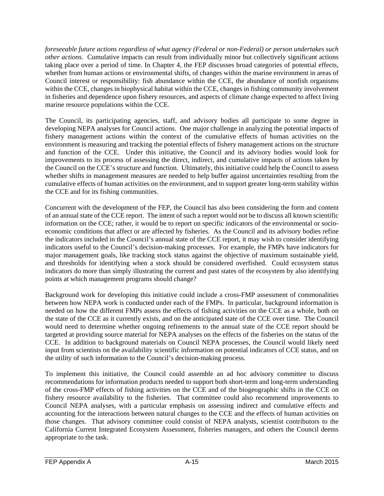*foreseeable future actions regardless of what agency (Federal or non-Federal) or person undertakes such other actions.* Cumulative impacts can result from individually minor but collectively significant actions taking place over a period of time. In Chapter 4, the FEP discusses broad categories of potential effects, whether from human actions or environmental shifts, of changes within the marine environment in areas of Council interest or responsibility: fish abundance within the CCE, the abundance of nonfish organisms within the CCE, changes in biophysical habitat within the CCE, changes in fishing community involvement in fisheries and dependence upon fishery resources, and aspects of climate change expected to affect living marine resource populations within the CCE.

The Council, its participating agencies, staff, and advisory bodies all participate to some degree in developing NEPA analyses for Council actions. One major challenge in analyzing the potential impacts of fishery management actions within the context of the cumulative effects of human activities on the environment is measuring and tracking the potential effects of fishery management actions on the structure and function of the CCE. Under this initiative, the Council and its advisory bodies would look for improvements to its process of assessing the direct, indirect, and cumulative impacts of actions taken by the Council on the CCE's structure and function. Ultimately, this initiative could help the Council to assess whether shifts in management measures are needed to help buffer against uncertainties resulting from the cumulative effects of human activities on the environment, and to support greater long-term stability within the CCE and for its fishing communities.

Concurrent with the development of the FEP, the Council has also been considering the form and content of an annual state of the CCE report. The intent of such a report would not be to discuss all known scientific information on the CCE; rather, it would be to report on specific indicators of the environmental or socioeconomic conditions that affect or are affected by fisheries. As the Council and its advisory bodies refine the indicators included in the Council's annual state of the CCE report, it may wish to consider identifying indicators useful to the Council's decision-making processes. For example, the FMPs have indicators for major management goals, like tracking stock status against the objective of maximum sustainable yield, and thresholds for identifying when a stock should be considered overfished. Could ecosystem status indicators do more than simply illustrating the current and past states of the ecosystem by also identifying points at which management programs should change?

Background work for developing this initiative could include a cross-FMP assessment of commonalities between how NEPA work is conducted under each of the FMPs. In particular, background information is needed on how the different FMPs assess the effects of fishing activities on the CCE as a whole, both on the state of the CCE as it currently exists, and on the anticipated state of the CCE over time. The Council would need to determine whether ongoing refinements to the annual state of the CCE report should be targeted at providing source material for NEPA analyses on the effects of the fisheries on the status of the CCE. In addition to background materials on Council NEPA processes, the Council would likely need input from scientists on the availability scientific information on potential indicators of CCE status, and on the utility of such information to the Council's decision-making process.

To implement this initiative, the Council could assemble an ad hoc advisory committee to discuss recommendations for information products needed to support both short-term and long-term understanding of the cross-FMP effects of fishing activities on the CCE and of the biogeographic shifts in the CCE on fishery resource availability to the fisheries. That committee could also recommend improvements to Council NEPA analyses, with a particular emphasis on assessing indirect and cumulative effects and accounting for the interactions between natural changes to the CCE and the effects of human activities on those changes. That advisory committee could consist of NEPA analysts, scientist contributors to the California Current Integrated Ecosystem Assessment, fisheries managers, and others the Council deems appropriate to the task.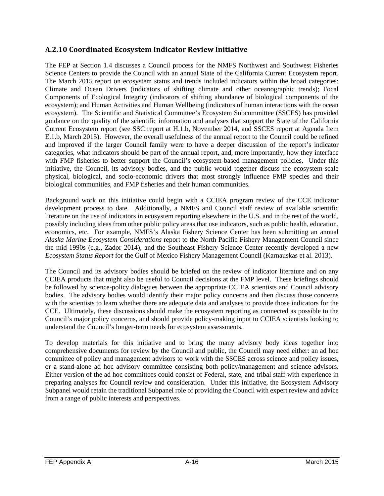#### <span id="page-15-0"></span>**A.2.10 Coordinated Ecosystem Indicator Review Initiative**

The FEP at Section 1.4 discusses a Council process for the NMFS Northwest and Southwest Fisheries Science Centers to provide the Council with an annual State of the California Current Ecosystem report. The March 2015 report on ecosystem status and trends included indicators within the broad categories: Climate and Ocean Drivers (indicators of shifting climate and other oceanographic trends); Focal Components of Ecological Integrity (indicators of shifting abundance of biological components of the ecosystem); and Human Activities and Human Wellbeing (indicators of human interactions with the ocean ecosystem). The Scientific and Statistical Committee's Ecosystem Subcommittee (SSCES) has provided guidance on the quality of the scientific information and analyses that support the State of the California Current Ecosystem report (see SSC report at H.1.b, November 2014, and SSCES report at Agenda Item E.1.b, March 2015). However, the overall usefulness of the annual report to the Council could be refined and improved if the larger Council family were to have a deeper discussion of the report's indicator categories, what indicators should be part of the annual report, and, more importantly, how they interface with FMP fisheries to better support the Council's ecosystem-based management policies. Under this initiative, the Council, its advisory bodies, and the public would together discuss the ecosystem-scale physical, biological, and socio-economic drivers that most strongly influence FMP species and their biological communities, and FMP fisheries and their human communities.

Background work on this initiative could begin with a CCIEA program review of the CCE indicator development process to date. Additionally, a NMFS and Council staff review of available scientific literature on the use of indicators in ecosystem reporting elsewhere in the U.S. and in the rest of the world, possibly including ideas from other public policy areas that use indicators, such as public health, education, economics, etc. For example, NMFS's Alaska Fishery Science Center has been submitting an annual *Alaska Marine Ecosystem Considerations* report to the North Pacific Fishery Management Council since the mid-1990s (e.g., Zador 2014), and the Southeast Fishery Science Center recently developed a new *Ecosystem Status Report* for the Gulf of Mexico Fishery Management Council (Karnauskas et al. 2013).

The Council and its advisory bodies should be briefed on the review of indicator literature and on any CCIEA products that might also be useful to Council decisions at the FMP level. These briefings should be followed by science-policy dialogues between the appropriate CCIEA scientists and Council advisory bodies. The advisory bodies would identify their major policy concerns and then discuss those concerns with the scientists to learn whether there are adequate data and analyses to provide those indicators for the CCE. Ultimately, these discussions should make the ecosystem reporting as connected as possible to the Council's major policy concerns, and should provide policy-making input to CCIEA scientists looking to understand the Council's longer-term needs for ecosystem assessments.

To develop materials for this initiative and to bring the many advisory body ideas together into comprehensive documents for review by the Council and public, the Council may need either: an ad hoc committee of policy and management advisors to work with the SSCES across science and policy issues, or a stand-alone ad hoc advisory committee consisting both policy/management and science advisors. Either version of the ad hoc committees could consist of Federal, state, and tribal staff with experience in preparing analyses for Council review and consideration. Under this initiative, the Ecosystem Advisory Subpanel would retain the traditional Subpanel role of providing the Council with expert review and advice from a range of public interests and perspectives.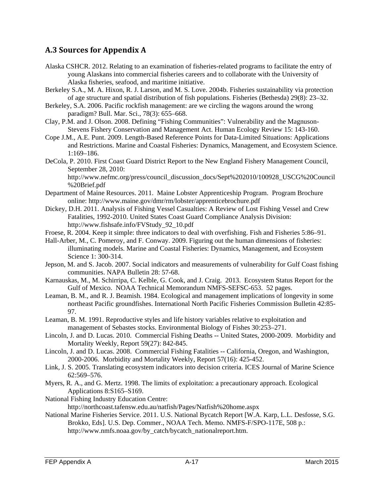#### <span id="page-16-0"></span>**A.3 Sources for Appendix A**

- Alaska CSHCR. 2012. Relating to an examination of fisheries-related programs to facilitate the entry of young Alaskans into commercial fisheries careers and to collaborate with the University of Alaska fisheries, seafood, and maritime initiative.
- Berkeley S.A., M. A. Hixon, R. J. Larson, and M. S. Love. 2004b. Fisheries sustainability via protection of age structure and spatial distribution of fish populations. Fisheries (Bethesda) 29(8): 23–32.
- Berkeley, S.A. 2006. Pacific rockfish management: are we circling the wagons around the wrong paradigm? Bull. Mar. Sci., 78(3): 655–668.
- Clay, P.M. and J. Olson. 2008. Defining "Fishing Communities": Vulnerability and the Magnuson-Stevens Fishery Conservation and Management Act. Human Ecology Review 15: 143-160.
- Cope J.M., A.E. Punt. 2009. Length-Based Reference Points for Data-Limited Situations: Applications and Restrictions. Marine and Coastal Fisheries: Dynamics, Management, and Ecosystem Science. 1:169–186.
- DeCola, P. 2010. First Coast Guard District Report to the New England Fishery Management Council, September 28, 2010:

http://www.nefmc.org/press/council\_discussion\_docs/Sept%202010/100928\_USCG%20Council %20Brief.pdf

- Department of Maine Resources. 2011. Maine Lobster Apprenticeship Program. Program Brochure online: http://www.maine.gov/dmr/rm/lobster/apprenticebrochure.pdf
- Dickey, D.H. 2011. Analysis of Fishing Vessel Casualties: A Review of Lost Fishing Vessel and Crew Fatalities, 1992-2010. United States Coast Guard Compliance Analysis Division: http://www.fishsafe.info/FVStudy\_92\_10.pdf
- Froese, R. 2004. Keep it simple: three indicators to deal with overfishing. Fish and Fisheries 5:86–91.
- Hall-Arber, M., C. Pomeroy, and F. Conway. 2009. Figuring out the human dimensions of fisheries: illuminating models. Marine and Coastal Fisheries: Dynamics, Management, and Ecosystem Science 1: 300-314.
- Jepson, M. and S. Jacob. 2007. Social indicators and measurements of vulnerability for Gulf Coast fishing communities. NAPA Bulletin 28: 57-68.
- Karnauskas, M., M. Schirripa, C. Kelble, G. Cook, and J. Craig. 2013. Ecosystem Status Report for the Gulf of Mexico. NOAA Technical Memorandum NMFS-SEFSC-653. 52 pages.
- Leaman, B. M., and R. J. Beamish. 1984. Ecological and management implications of longevity in some northeast Pacific groundfishes. International North Pacific Fisheries Commission Bulletin 42:85- 97.
- Leaman, B. M. 1991. Reproductive styles and life history variables relative to exploitation and management of Sebastes stocks. Environmental Biology of Fishes 30:253–271.
- Lincoln, J. and D. Lucas. 2010. Commercial Fishing Deaths -- United States, 2000-2009. Morbidity and Mortality Weekly, Report 59(27): 842-845.
- Lincoln, J. and D. Lucas. 2008. Commercial Fishing Fatalities -- California, Oregon, and Washington, 2000-2006. Morbidity and Mortality Weekly, Report 57(16): 425-452.
- Link, J. S. 2005. Translating ecosystem indicators into decision criteria. ICES Journal of Marine Science 62:569–576.
- Myers, R. A., and G. Mertz. 1998. The limits of exploitation: a precautionary approach. Ecological Applications 8:S165–S169.
- National Fishing Industry Education Centre: http://northcoast.tafensw.edu.au/natfish/Pages/Natfish%20home.aspx
- National Marine Fisheries Service. 2011. U.S. National Bycatch Report [W.A. Karp, L.L. Desfosse, S.G. Brokko, Eds]. U.S. Dep. Commer., NOAA Tech. Memo. NMFS-F/SPO-117E, 508 p.: http://www.nmfs.noaa.gov/by\_catch/bycatch\_nationalreport.htm.